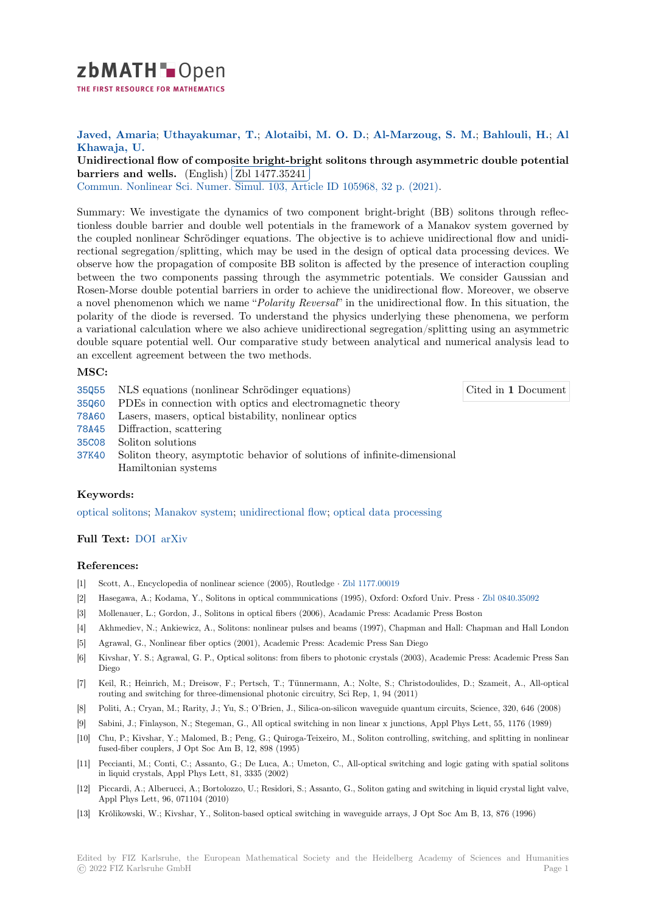

# **Javed, Amaria**; **Uthayakumar, T.**; **Alotaibi, M. O. D.**; **Al-Marzoug, S. M.**; **Bahlouli, H.**; **Al [K](https://zbmath.org/)hawaja, U.**

Unidirectional flow of composite bright-bright solitons through asymmetric double potential **barriers and wells.** (English) Zbl 1477.35241

**Commun.** Nonline[ar Sci. Numer. Simu](https://zbmath.org/authors/?q=ai:uthayakumar.t)l. [103, Article ID 10596](https://zbmath.org/authors/?q=ai:alotaibi.m-o-d)[8, 32 p. \(2021\).](https://zbmath.org/authors/?q=ai:al-marzoug.s-m)

[Summary: We investigate the dynamics of two component bright-bright \(BB\) solitons through reflec](https://zbmath.org/1477.35241)[tionless double barrie](https://zbmath.org/1477.35241)r and dou[ble well potentials](https://zbmath.org/1477.35241) in the framework of a Manakov system governed by [the coupled nonlinear Schrödinger equa](https://zbmath.org/journals/?q=se:2600)[tions. The objective is to achieve un](https://zbmath.org/?q=in:472299)idirectional flow and unidirectional segregation/splitting, which may be used in the design of optical data processing devices. We observe how the propagation of composite BB soliton is affected by the presence of interaction coupling between the two components passing through the asymmetric potentials. We consider Gaussian and Rosen-Morse double potential barriers in order to achieve the unidirectional flow. Moreover, we observe a novel phenomenon which we name "*Polarity Reversal*" in the unidirectional flow. In this situation, the polarity of the diode is reversed. To understand the physics underlying these phenomena, we perform a variational calculation where we also achieve unidirectional segregation/splitting using an asymmetric double square potential well. Our comparative study between analytical and numerical analysis lead to an excellent agreement between the two methods.

### **MSC:**

- 35Q55 NLS equations (nonlinear Schrödinger equations)
- 35Q60 PDEs in connection with optics and electromagnetic theory
- 78A60 Lasers, masers, optical bistability, nonlinear optics
- 78A45 Diffraction, scattering
- [35C08](https://zbmath.org/classification/?q=cc:35Q55) Soliton solutions
- [37K40](https://zbmath.org/classification/?q=cc:35Q60) Soliton theory, asymptotic behavior of solutions of infinite-dimensional Hamiltonian systems

## **[Keyw](https://zbmath.org/classification/?q=cc:35C08)ords:**

[optica](https://zbmath.org/classification/?q=cc:37K40)l solitons; Manakov system; unidirectional flow; optical data processing

## **Full Text:** DOI arXiv

### **[References:](https://zbmath.org/?q=ut:optical+solitons)**

- [1] Scott, A., Encyclopedia of nonlinear science (2005), Routledge *·* Zbl 1177.00019
- [2] Hasegawa[, A.;](https://dx.doi.org/10.1016/j.cnsns.2021.105968) [Kodama,](https://arxiv.org/abs/2107.11457) Y., Solitons in optical communications (1995), Oxford: Oxford Univ. Press *·* Zbl 0840.35092
- [3] Mollenauer, L.; Gordon, J., Solitons in optical fibers (2006), Acadamic Press: Acadamic Press Boston
- [4] Akhmediev, N.; Ankiewicz, A., Solitons: nonlinear pulses and beams (1997), Chapman and Hall: Chapman and Hall London
- [5] Agrawal, G., Nonlinear fiber optics (2001), Academic Press: Aca[demic Press San](https://zbmath.org/1177.00019) Diego
- [6] Kivshar, Y. S.; Agrawal, G. P., Optical solitons: from fibers to photonic crystals (2003), Academic Pre[ss: Academic Pr](https://zbmath.org/0840.35092)ess San Diego
- [7] Keil, R.; Heinrich, M.; Dreisow, F.; Pertsch, T.; Tünnermann, A.; Nolte, S.; Christodoulides, D.; Szameit, A., All-optical routing and switching for three-dimensional photonic circuitry, Sci Rep, 1, 94 (2011)
- [8] Politi, A.; Cryan, M.; Rarity, J.; Yu, S.; O'Brien, J., Silica-on-silicon waveguide quantum circuits, Science, 320, 646 (2008)
- [9] Sabini, J.; Finlayson, N.; Stegeman, G., All optical switching in non linear x junctions, Appl Phys Lett, 55, 1176 (1989)
- [10] Chu, P.; Kivshar, Y.; Malomed, B.; Peng, G.; Quiroga-Teixeiro, M., Soliton controlling, switching, and splitting in nonlinear fused-fiber couplers, J Opt Soc Am B, 12, 898 (1995)
- [11] Peccianti, M.; Conti, C.; Assanto, G.; De Luca, A.; Umeton, C., All-optical switching and logic gating with spatial solitons in liquid crystals, Appl Phys Lett, 81, 3335 (2002)
- [12] Piccardi, A.; Alberucci, A.; Bortolozzo, U.; Residori, S.; Assanto, G., Soliton gating and switching in liquid crystal light valve, Appl Phys Lett, 96, 071104 (2010)
- [13] Królikowski, W.; Kivshar, Y., Soliton-based optical switching in waveguide arrays, J Opt Soc Am B, 13, 876 (1996)

Edited by FIZ Karlsruhe, the European Mathematical Society and the Heidelberg Academy of Sciences and Humanities © 2022 FIZ Karlsruhe GmbH Page 1

Cited in **1** Document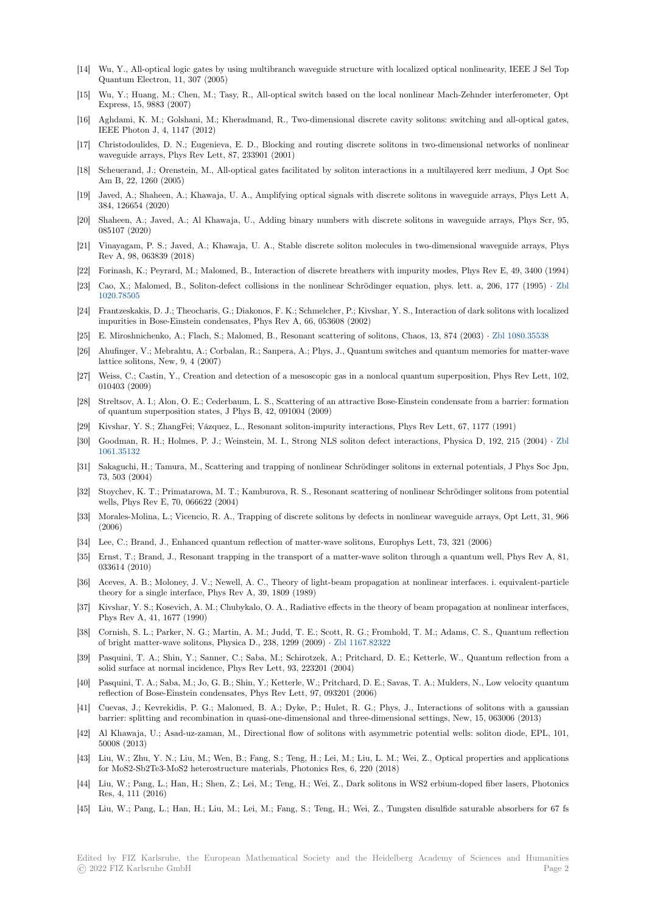- [14] Wu, Y., All-optical logic gates by using multibranch waveguide structure with localized optical nonlinearity, IEEE J Sel Top Quantum Electron, 11, 307 (2005)
- [15] Wu, Y.; Huang, M.; Chen, M.; Tasy, R., All-optical switch based on the local nonlinear Mach-Zehnder interferometer, Opt Express, 15, 9883 (2007)
- [16] Aghdami, K. M.; Golshani, M.; Kheradmand, R., Two-dimensional discrete cavity solitons: switching and all-optical gates, IEEE Photon J, 4, 1147 (2012)
- [17] Christodoulides, D. N.; Eugenieva, E. D., Blocking and routing discrete solitons in two-dimensional networks of nonlinear waveguide arrays, Phys Rev Lett, 87, 233901 (2001)
- [18] Scheuerand, J.; Orenstein, M., All-optical gates facilitated by soliton interactions in a multilayered kerr medium, J Opt Soc Am B, 22, 1260 (2005)
- [19] Javed, A.; Shaheen, A.; Khawaja, U. A., Amplifying optical signals with discrete solitons in waveguide arrays, Phys Lett A, 384, 126654 (2020)
- [20] Shaheen, A.; Javed, A.; Al Khawaja, U., Adding binary numbers with discrete solitons in waveguide arrays, Phys Scr, 95, 085107 (2020)
- [21] Vinayagam, P. S.; Javed, A.; Khawaja, U. A., Stable discrete soliton molecules in two-dimensional waveguide arrays, Phys Rev A, 98, 063839 (2018)
- [22] Forinash, K.; Peyrard, M.; Malomed, B., Interaction of discrete breathers with impurity modes, Phys Rev E, 49, 3400 (1994)
- [23] Cao, X.; Malomed, B., Soliton-defect collisions in the nonlinear Schrödinger equation, phys. lett. a, 206, 177 (1995) *·* Zbl 1020.78505
- [24] Frantzeskakis, D. J.; Theocharis, G.; Diakonos, F. K.; Schmelcher, P.; Kivshar, Y. S., Interaction of dark solitons with localized impurities in Bose-Einstein condensates, Phys Rev A, 66, 053608 (2002)
- [25] E. Miroshnichenko, A.; Flach, S.; Malomed, B., Resonant scattering of solitons, Chaos, 13, 874 (2003) *·* Zbl 1080.35538
- [26] [Ahufinger,](https://zbmath.org/1020.78505) V.; Mebrahtu, A.; Corbalan, R.; Sanpera, A.; Phys, J., Quantum switches and quantum memories for matter-wave lattice solitons, New, 9, 4 (2007)
- [27] Weiss, C.; Castin, Y., Creation and detection of a mesoscopic gas in a nonlocal quantum superposition, Phys Rev Lett, 102, 010403 (2009)
- [28] Streltsov, A. I.; Alon, O. E.; Cederbaum, L. S., Scattering of an attractive Bose-Einstein condensate from a barrier: formation of quantum superposition states, J Phys B, 42, 091004 (2009)
- [29] Kivshar, Y. S.; ZhangFei; Vázquez, L., Resonant soliton-impurity interactions, Phys Rev Lett, 67, 1177 (1991)
- [30] Goodman, R. H.; Holmes, P. J.; Weinstein, M. I., Strong NLS soliton defect interactions, Physica D, 192, 215 (2004) *·* Zbl 1061.35132
- [31] Sakaguchi, H.; Tamura, M., Scattering and trapping of nonlinear Schrödinger solitons in external potentials, J Phys Soc Jpn, 73, 503 (2004)
- [32] Stoychev, K. T.; Primatarowa, M. T.; Kamburova, R. S., Resonant scattering of nonlinear Schrödinger solitons from pote[ntial](https://zbmath.org/1061.35132) [wells, Phys](https://zbmath.org/1061.35132) Rev E, 70, 066622 (2004)
- [33] Morales-Molina, L.; Vicencio, R. A., Trapping of discrete solitons by defects in nonlinear waveguide arrays, Opt Lett, 31, 966 (2006)
- [34] Lee, C.; Brand, J., Enhanced quantum reflection of matter-wave solitons, Europhys Lett, 73, 321 (2006)
- [35] Ernst, T.; Brand, J., Resonant trapping in the transport of a matter-wave soliton through a quantum well, Phys Rev A, 81, 033614 (2010)
- [36] Aceves, A. B.; Moloney, J. V.; Newell, A. C., Theory of light-beam propagation at nonlinear interfaces. i. equivalent-particle theory for a single interface, Phys Rev A, 39, 1809 (1989)
- [37] Kivshar, Y. S.; Kosevich, A. M.; Chubykalo, O. A., Radiative effects in the theory of beam propagation at nonlinear interfaces, Phys Rev A, 41, 1677 (1990)
- [38] Cornish, S. L.; Parker, N. G.; Martin, A. M.; Judd, T. E.; Scott, R. G.; Fromhold, T. M.; Adams, C. S., Quantum reflection of bright matter-wave solitons, Physica D., 238, 1299 (2009) *·* Zbl 1167.82322
- [39] Pasquini, T. A.; Shin, Y.; Sanner, C.; Saba, M.; Schirotzek, A.; Pritchard, D. E.; Ketterle, W., Quantum reflection from a solid surface at normal incidence, Phys Rev Lett, 93, 223201 (2004)
- [40] Pasquini, T. A.; Saba, M.; Jo, G. B.; Shin, Y.; Ketterle, W.; Pritchard, D. E.; Savas, T. A.; Mulders, N., Low velocity quantum reflection of Bose-Einstein condensates, Phys Rev Lett, 97, 09[3201 \(2006\)](https://zbmath.org/1167.82322)
- [41] Cuevas, J.; Kevrekidis, P. G.; Malomed, B. A.; Dyke, P.; Hulet, R. G.; Phys, J., Interactions of solitons with a gaussian barrier: splitting and recombination in quasi-one-dimensional and three-dimensional settings, New, 15, 063006 (2013)
- [42] Al Khawaja, U.; Asad-uz-zaman, M., Directional flow of solitons with asymmetric potential wells: soliton diode, EPL, 101, 50008 (2013)
- [43] Liu, W.; Zhu, Y. N.; Liu, M.; Wen, B.; Fang, S.; Teng, H.; Lei, M.; Liu, L. M.; Wei, Z., Optical properties and applications for MoS2-Sb2Te3-MoS2 heterostructure materials, Photonics Res, 6, 220 (2018)
- [44] Liu, W.; Pang, L.; Han, H.; Shen, Z.; Lei, M.; Teng, H.; Wei, Z., Dark solitons in WS2 erbium-doped fiber lasers, Photonics Res, 4, 111 (2016)
- [45] Liu, W.; Pang, L.; Han, H.; Liu, M.; Lei, M.; Fang, S.; Teng, H.; Wei, Z., Tungsten disulfide saturable absorbers for 67 fs